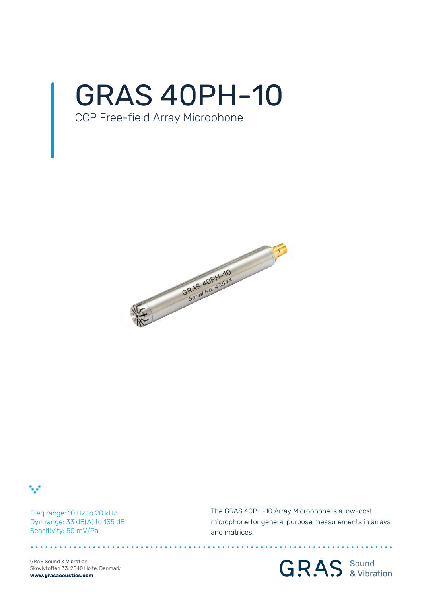

## CCP Free-field Array Microphone





Freq range: 10 Hz to 20 kHz Dyn range: 33 dB(A) to 135 dB Sensitivity: 50 mV/Pa

The GRAS 40PH-10 Array Microphone is a low-cost microphone for general purpose measurements in arrays and matrices.

GRAS Sound & Vibration Skovlytoften 33, 2840 Holte, Denmark **www.grasacoustics.com**

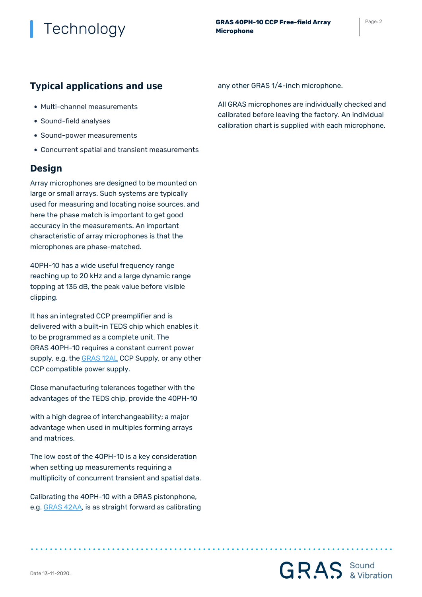### **Typical applications and use**

- Multi-channel measurements
- Sound-field analyses
- Sound-power measurements
- Concurrent spatial and transient measurements

### **Design**

Array microphones are designed to be mounted on large or small arrays. Such systems are typically used for measuring and locating noise sources, and here the phase match is important to get good accuracy in the measurements. An important characteristic of array microphones is that the microphones are phase-matched.

40PH-10 has a wide useful frequency range reaching up to 20 kHz and a large dynamic range topping at 135 dB, the peak value before visible clipping.

It has an integrated CCP preamplifier and is delivered with a built-in TEDS chip which enables it to be programmed as a complete unit. The GRAS 40PH-10 requires a constant current power supply, e.g. the [GRAS 12AL](https://www.grasacoustics.com/products/product/222-12AL.html) CCP Supply, or any other CCP compatible power supply.

Close manufacturing tolerances together with the advantages of the TEDS chip, provide the 40PH-10

with a high degree of interchangeability; a major advantage when used in multiples forming arrays and matrices.

The low cost of the 40PH-10 is a key consideration when setting up measurements requiring a multiplicity of concurrent transient and spatial data.

Calibrating the 40PH-10 with a GRAS pistonphone, e.g. [GRAS 42AA,](https://www.grasacoustics.com/products/product/255-42AA.html) is as straight forward as calibrating any other GRAS 1/4-inch microphone.

All GRAS microphones are individually checked and calibrated before leaving the factory. An individual calibration chart is supplied with each microphone.

**GRAS** Sound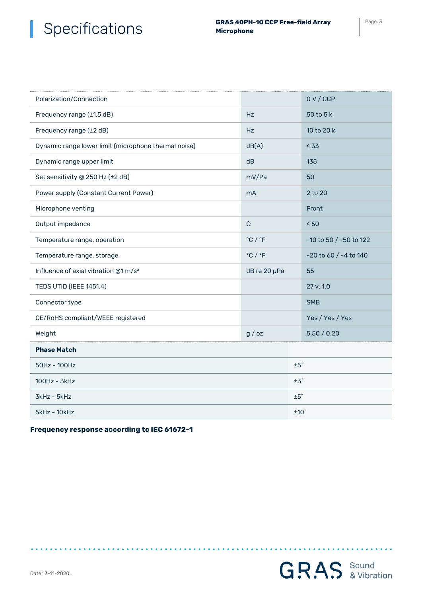### Specifications **GRAS 40PH-10 CCP Free-field Array** Page: 3 I

**Microphone**

| Polarization/Connection                              |                             | 0V/CCP                    |  |
|------------------------------------------------------|-----------------------------|---------------------------|--|
| Frequency range (±1.5 dB)                            | <b>Hz</b>                   | $50$ to $5k$              |  |
| Frequency range (±2 dB)                              | Hz                          | 10 to 20 k                |  |
| Dynamic range lower limit (microphone thermal noise) | dB(A)                       | < 33                      |  |
| Dynamic range upper limit                            | dB                          | 135                       |  |
| Set sensitivity @ 250 Hz (±2 dB)                     | mV/Pa                       | 50                        |  |
| Power supply (Constant Current Power)                | <b>mA</b>                   | 2 to 20                   |  |
| Microphone venting                                   |                             | Front                     |  |
| Output impedance                                     | Ω                           | < 50                      |  |
| Temperature range, operation                         | $^{\circ}$ C / $^{\circ}$ F | -10 to 50 / -50 to 122    |  |
| Temperature range, storage                           | $^{\circ}$ C / $^{\circ}$ F | $-20$ to 60 / $-4$ to 140 |  |
| Influence of axial vibration @1 m/s <sup>2</sup>     | dB re 20 µPa                | 55                        |  |
| <b>TEDS UTID (IEEE 1451.4)</b>                       |                             | 27 v. 1.0                 |  |
| Connector type                                       |                             | <b>SMB</b>                |  |
| CE/RoHS compliant/WEEE registered                    |                             | Yes / Yes / Yes           |  |
| Weight                                               | g / oz                      | 5.50 / 0.20               |  |
| <b>Phase Match</b>                                   |                             |                           |  |
| 50Hz - 100Hz                                         |                             | $±5^\circ$                |  |
| 100Hz - 3kHz                                         |                             | ±3°                       |  |
| 3kHz - 5kHz                                          |                             | ±5°                       |  |
| $5kHz - 10kHz$                                       |                             | $±10^\circ$               |  |

**Frequency response according to IEC 61672-1**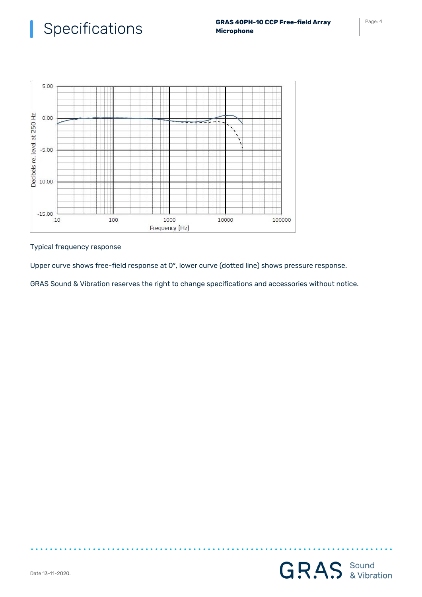

Typical frequency response

Upper curve shows free-field response at 0°, lower curve (dotted line) shows pressure response.

GRAS Sound & Vibration reserves the right to change specifications and accessories without notice.

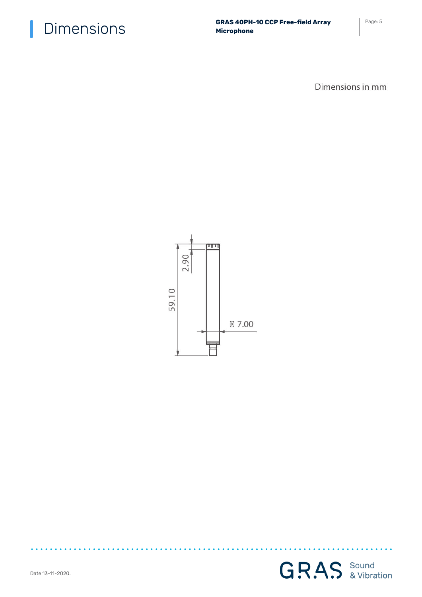$\textsf{Dimensions} \begin{array}{c} \textsf{GRAS 40PH-10 CCP Free-field Array} \end{array} \begin{array}{c} \textsf{Page: 5} \end{array}$ **Microphone**

Dimensions in mm



 $\mathbf{A}$ 

 $\bullet$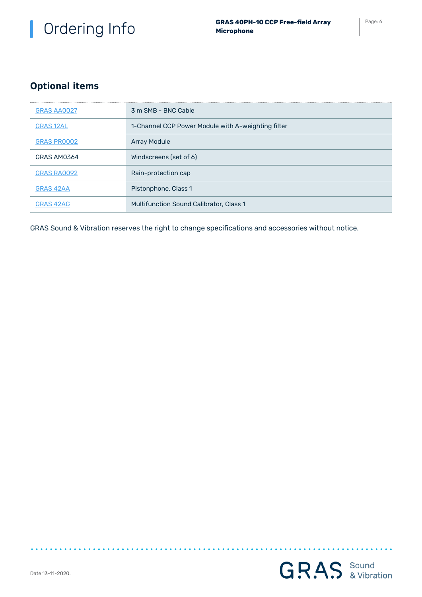# Ordering Info **GRAS 40PH-10 CCP Free-field Array** Page: 6

## **Optional items**

| GRAS AA0027        | 3 m SMB - BNC Cable                                |
|--------------------|----------------------------------------------------|
| <b>GRAS 12AL</b>   | 1-Channel CCP Power Module with A-weighting filter |
| <b>GRAS PROOO2</b> | <b>Array Module</b>                                |
| GRAS AM0364        | Windscreens (set of 6)                             |
| GRAS RA0092        | Rain-protection cap                                |
| <b>GRAS 42AA</b>   | Pistonphone, Class 1                               |
| GRAS 42AG          | <b>Multifunction Sound Calibrator, Class 1</b>     |

GRAS Sound & Vibration reserves the right to change specifications and accessories without notice.